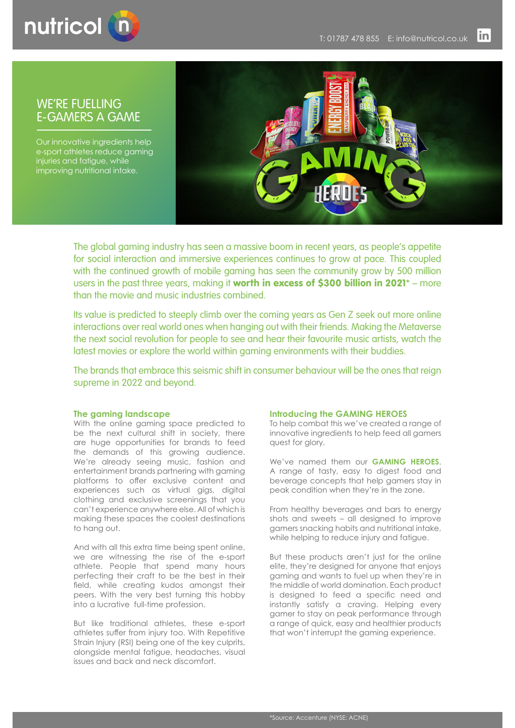

# WE'RE FUELLING E-GAMERS A GAME

Our innovative ingredients help e-sport athletes reduce gaming injuries and fatigue, while improving nutritional intake.



The global gaming industry has seen a massive boom in recent years, as people's appetite for social interaction and immersive experiences continues to grow at pace. This coupled with the continued growth of mobile gaming has seen the community grow by 500 million users in the past three years, making it worth in excess of \$300 billion in 2021<sup>\*</sup> – more than the movie and music industries combined.

Its value is predicted to steeply climb over the coming years as Gen Z seek out more online interactions over real world ones when hanging out with their friends. Making the Metaverse the next social revolution for people to see and hear their favourite music artists, watch the latest movies or explore the world within gaming environments with their buddies.

The brands that embrace this seismic shift in consumer behaviour will be the ones that reign supreme in 2022 and beyond.

## **The gaming landscape**

With the online gaming space predicted to be the next cultural shift in society, there are huge opportunities for brands to feed the demands of this growing audience. We're already seeing music, fashion and entertainment brands partnering with gaming platforms to offer exclusive content and experiences such as virtual gigs, digital clothing and exclusive screenings that you can't experience anywhere else. All of which is making these spaces the coolest destinations to hang out.

And with all this extra time being spent online, we are witnessing the rise of the e-sport athlete. People that spend many hours perfecting their craft to be the best in their field, while creating kudos amongst their peers. With the very best turning this hobby into a lucrative full-time profession.

But like traditional athletes, these e-sport athletes suffer from injury too. With Repetitive Strain Injury (RSI) being one of the key culprits, alongside mental fatigue, headaches, visual issues and back and neck discomfort.

#### **Introducing the GAMING HEROES**

To help combat this we've created a range of innovative ingredients to help feed all gamers quest for glory.

We've named them our **GAMING HEROES**. A range of tasty, easy to digest food and beverage concepts that help gamers stay in peak condition when they're in the zone.

From healthy beverages and bars to energy shots and sweets – all designed to improve gamers snacking habits and nutritional intake, while helping to reduce injury and fatigue.

But these products aren't just for the online elite, they're designed for anyone that enjoys gaming and wants to fuel up when they're in the middle of world domination. Each product is designed to feed a specific need and instantly satisfy a craving. Helping every gamer to stay on peak performance through a range of quick, easy and healthier products that won't interrupt the gaming experience.